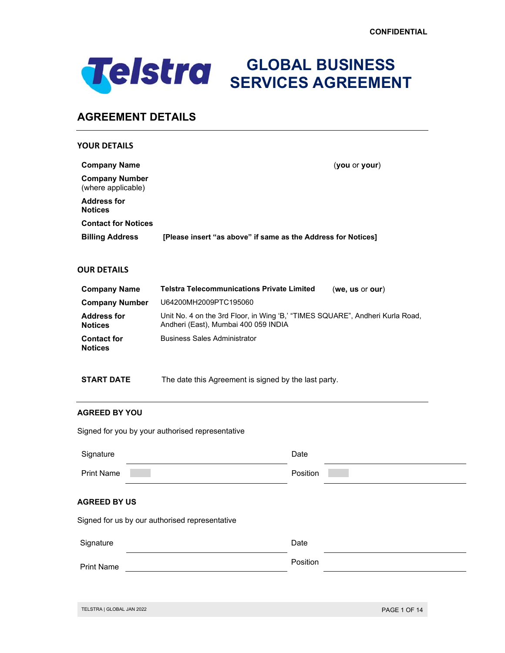

**GLOBAL BUSINESS SERVICES AGREEMENT**

# **AGREEMENT DETAILS**

| <b>YOUR DETAILS</b>                         |                                                                                                                       |
|---------------------------------------------|-----------------------------------------------------------------------------------------------------------------------|
| <b>Company Name</b>                         | (you or your)                                                                                                         |
| <b>Company Number</b><br>(where applicable) |                                                                                                                       |
| <b>Address for</b><br><b>Notices</b>        |                                                                                                                       |
| <b>Contact for Notices</b>                  |                                                                                                                       |
| <b>Billing Address</b>                      | [Please insert "as above" if same as the Address for Notices]                                                         |
| <b>OUR DETAILS</b>                          |                                                                                                                       |
| <b>Company Name</b>                         | <b>Telstra Telecommunications Private Limited</b><br>(we, us or our)                                                  |
| <b>Company Number</b>                       | U64200MH2009PTC195060                                                                                                 |
| <b>Address for</b><br><b>Notices</b>        | Unit No. 4 on the 3rd Floor, in Wing 'B,' "TIMES SQUARE", Andheri Kurla Road,<br>Andheri (East), Mumbai 400 059 INDIA |

| <b>Address for</b>                   | Unit No. 4 on the 3rd Floor, in Wing 'B,' "TIMES SQUARE", Andheri Kurla |
|--------------------------------------|-------------------------------------------------------------------------|
| <b>Notices</b>                       | Andheri (East), Mumbai 400 059 INDIA                                    |
| <b>Contact for</b><br><b>Notices</b> | <b>Business Sales Administrator</b>                                     |

**START DATE** The date this Agreement is signed by the last party.

## **AGREED BY YOU**

Signed for you by your authorised representative

| Date     |
|----------|
| Position |
|          |
| Date     |
| Position |
|          |
|          |

TELSTRA | GLOBAL JAN 2022 **PAGE 1 OF 14**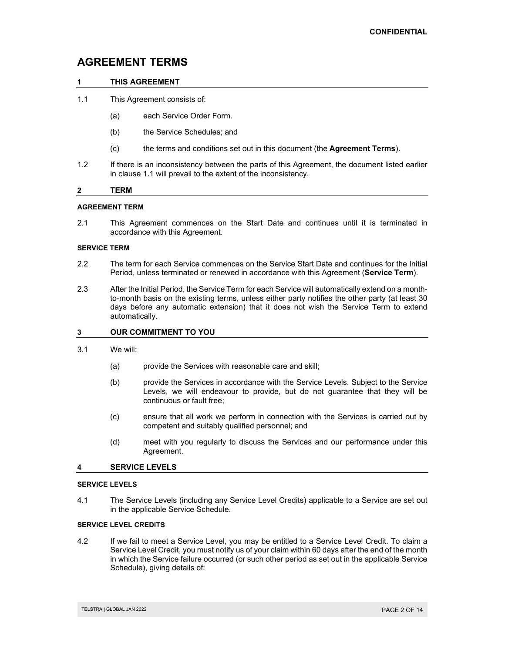# **AGREEMENT TERMS**

## **1 THIS AGREEMENT**

- 1.1 This Agreement consists of:
	- (a) each Service Order Form.
	- (b) the Service Schedules; and
	- (c) the terms and conditions set out in this document (the **Agreement Terms**).
- 1.2 If there is an inconsistency between the parts of this Agreement, the document listed earlier in clause 1.1 will prevail to the extent of the inconsistency.

## **2 TERM**

## **AGREEMENT TERM**

2.1 This Agreement commences on the Start Date and continues until it is terminated in accordance with this Agreement.

## **SERVICE TERM**

- 2.2 The term for each Service commences on the Service Start Date and continues for the Initial Period, unless terminated or renewed in accordance with this Agreement (**Service Term**).
- 2.3 After the Initial Period, the Service Term for each Service will automatically extend on a monthto-month basis on the existing terms, unless either party notifies the other party (at least 30 days before any automatic extension) that it does not wish the Service Term to extend automatically.

## **3 OUR COMMITMENT TO YOU**

- 3.1 We will:
	- (a) provide the Services with reasonable care and skill;
	- (b) provide the Services in accordance with the Service Levels. Subject to the Service Levels, we will endeavour to provide, but do not guarantee that they will be continuous or fault free;
	- (c) ensure that all work we perform in connection with the Services is carried out by competent and suitably qualified personnel; and
	- (d) meet with you regularly to discuss the Services and our performance under this Agreement.

## **4 SERVICE LEVELS**

#### **SERVICE LEVELS**

4.1 The Service Levels (including any Service Level Credits) applicable to a Service are set out in the applicable Service Schedule.

#### **SERVICE LEVEL CREDITS**

4.2 If we fail to meet a Service Level, you may be entitled to a Service Level Credit. To claim a Service Level Credit, you must notify us of your claim within 60 days after the end of the month in which the Service failure occurred (or such other period as set out in the applicable Service Schedule), giving details of: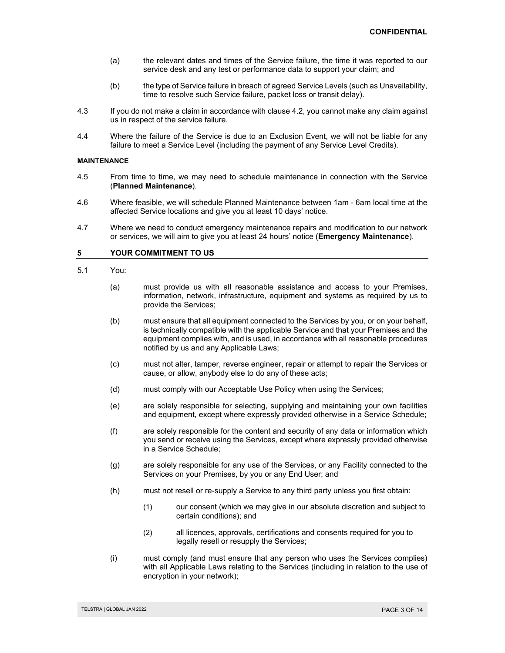- (a) the relevant dates and times of the Service failure, the time it was reported to our service desk and any test or performance data to support your claim; and
- (b) the type of Service failure in breach of agreed Service Levels (such as Unavailability, time to resolve such Service failure, packet loss or transit delay).
- 4.3 If you do not make a claim in accordance with clause 4.2, you cannot make any claim against us in respect of the service failure.
- 4.4 Where the failure of the Service is due to an Exclusion Event, we will not be liable for any failure to meet a Service Level (including the payment of any Service Level Credits).

#### **MAINTENANCE**

- 4.5 From time to time, we may need to schedule maintenance in connection with the Service (**Planned Maintenance**).
- 4.6 Where feasible, we will schedule Planned Maintenance between 1am 6am local time at the affected Service locations and give you at least 10 days' notice.
- 4.7 Where we need to conduct emergency maintenance repairs and modification to our network or services, we will aim to give you at least 24 hours' notice (**Emergency Maintenance**).

## **5 YOUR COMMITMENT TO US**

- 5.1 You:
	- (a) must provide us with all reasonable assistance and access to your Premises, information, network, infrastructure, equipment and systems as required by us to provide the Services;
	- (b) must ensure that all equipment connected to the Services by you, or on your behalf, is technically compatible with the applicable Service and that your Premises and the equipment complies with, and is used, in accordance with all reasonable procedures notified by us and any Applicable Laws;
	- (c) must not alter, tamper, reverse engineer, repair or attempt to repair the Services or cause, or allow, anybody else to do any of these acts;
	- (d) must comply with our Acceptable Use Policy when using the Services;
	- (e) are solely responsible for selecting, supplying and maintaining your own facilities and equipment, except where expressly provided otherwise in a Service Schedule;
	- (f) are solely responsible for the content and security of any data or information which you send or receive using the Services, except where expressly provided otherwise in a Service Schedule;
	- (g) are solely responsible for any use of the Services, or any Facility connected to the Services on your Premises, by you or any End User; and
	- (h) must not resell or re-supply a Service to any third party unless you first obtain:
		- (1) our consent (which we may give in our absolute discretion and subject to certain conditions); and
		- (2) all licences, approvals, certifications and consents required for you to legally resell or resupply the Services;
	- (i) must comply (and must ensure that any person who uses the Services complies) with all Applicable Laws relating to the Services (including in relation to the use of encryption in your network);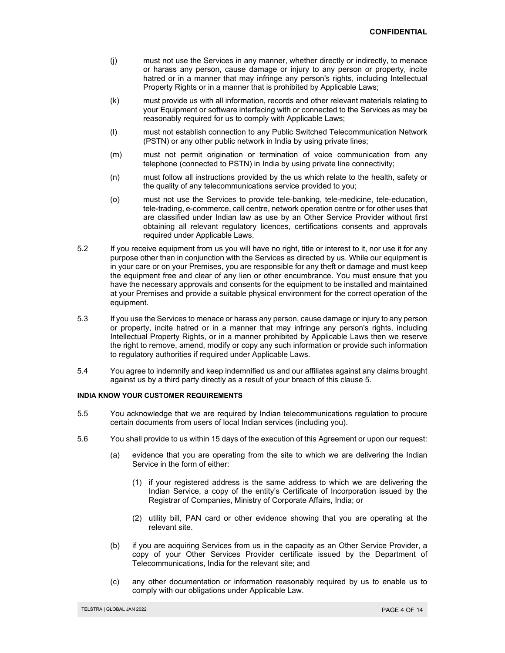- (j) must not use the Services in any manner, whether directly or indirectly, to menace or harass any person, cause damage or injury to any person or property, incite hatred or in a manner that may infringe any person's rights, including Intellectual Property Rights or in a manner that is prohibited by Applicable Laws;
- (k) must provide us with all information, records and other relevant materials relating to your Equipment or software interfacing with or connected to the Services as may be reasonably required for us to comply with Applicable Laws;
- (l) must not establish connection to any Public Switched Telecommunication Network (PSTN) or any other public network in India by using private lines;
- (m) must not permit origination or termination of voice communication from any telephone (connected to PSTN) in India by using private line connectivity;
- (n) must follow all instructions provided by the us which relate to the health, safety or the quality of any telecommunications service provided to you;
- (o) must not use the Services to provide tele-banking, tele-medicine, tele-education, tele-trading, e-commerce, call centre, network operation centre or for other uses that are classified under Indian law as use by an Other Service Provider without first obtaining all relevant regulatory licences, certifications consents and approvals required under Applicable Laws.
- 5.2 If you receive equipment from us you will have no right, title or interest to it, nor use it for any purpose other than in conjunction with the Services as directed by us. While our equipment is in your care or on your Premises, you are responsible for any theft or damage and must keep the equipment free and clear of any lien or other encumbrance. You must ensure that you have the necessary approvals and consents for the equipment to be installed and maintained at your Premises and provide a suitable physical environment for the correct operation of the equipment.
- 5.3 If you use the Services to menace or harass any person, cause damage or injury to any person or property, incite hatred or in a manner that may infringe any person's rights, including Intellectual Property Rights, or in a manner prohibited by Applicable Laws then we reserve the right to remove, amend, modify or copy any such information or provide such information to regulatory authorities if required under Applicable Laws.
- 5.4 You agree to indemnify and keep indemnified us and our affiliates against any claims brought against us by a third party directly as a result of your breach of this clause 5.

#### **INDIA KNOW YOUR CUSTOMER REQUIREMENTS**

- 5.5 You acknowledge that we are required by Indian telecommunications regulation to procure certain documents from users of local Indian services (including you).
- 5.6 You shall provide to us within 15 days of the execution of this Agreement or upon our request:
	- (a) evidence that you are operating from the site to which we are delivering the Indian Service in the form of either:
		- (1) if your registered address is the same address to which we are delivering the Indian Service, a copy of the entity's Certificate of Incorporation issued by the Registrar of Companies, Ministry of Corporate Affairs, India; or
		- (2) utility bill, PAN card or other evidence showing that you are operating at the relevant site.
	- (b) if you are acquiring Services from us in the capacity as an Other Service Provider, a copy of your Other Services Provider certificate issued by the Department of Telecommunications, India for the relevant site; and
	- (c) any other documentation or information reasonably required by us to enable us to comply with our obligations under Applicable Law.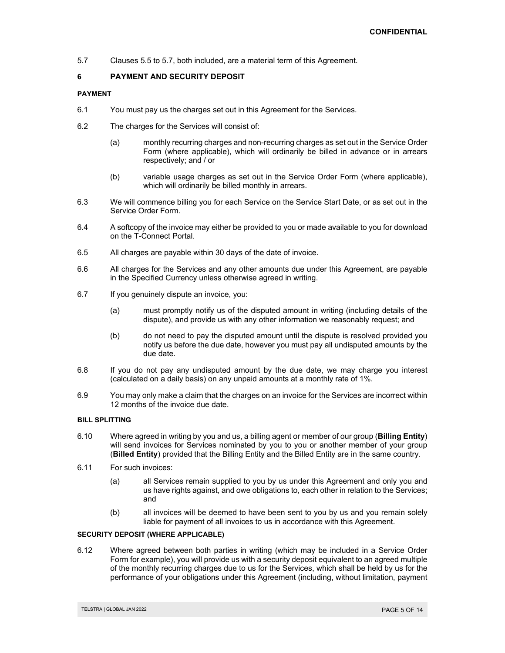5.7 Clauses 5.5 to 5.7, both included, are a material term of this Agreement.

## **6 PAYMENT AND SECURITY DEPOSIT**

## **PAYMENT**

- 6.1 You must pay us the charges set out in this Agreement for the Services.
- 6.2 The charges for the Services will consist of:
	- (a) monthly recurring charges and non-recurring charges as set out in the Service Order Form (where applicable), which will ordinarily be billed in advance or in arrears respectively; and / or
	- (b) variable usage charges as set out in the Service Order Form (where applicable), which will ordinarily be billed monthly in arrears.
- 6.3 We will commence billing you for each Service on the Service Start Date, or as set out in the Service Order Form.
- 6.4 A softcopy of the invoice may either be provided to you or made available to you for download on the T-Connect Portal.
- 6.5 All charges are payable within 30 days of the date of invoice.
- 6.6 All charges for the Services and any other amounts due under this Agreement, are payable in the Specified Currency unless otherwise agreed in writing.
- 6.7 If you genuinely dispute an invoice, you:
	- (a) must promptly notify us of the disputed amount in writing (including details of the dispute), and provide us with any other information we reasonably request; and
	- (b) do not need to pay the disputed amount until the dispute is resolved provided you notify us before the due date, however you must pay all undisputed amounts by the due date.
- 6.8 If you do not pay any undisputed amount by the due date, we may charge you interest (calculated on a daily basis) on any unpaid amounts at a monthly rate of 1%.
- 6.9 You may only make a claim that the charges on an invoice for the Services are incorrect within 12 months of the invoice due date.

## **BILL SPLITTING**

- 6.10 Where agreed in writing by you and us, a billing agent or member of our group (**Billing Entity**) will send invoices for Services nominated by you to you or another member of your group (**Billed Entity**) provided that the Billing Entity and the Billed Entity are in the same country.
- 6.11 For such invoices:
	- (a) all Services remain supplied to you by us under this Agreement and only you and us have rights against, and owe obligations to, each other in relation to the Services; and
	- (b) all invoices will be deemed to have been sent to you by us and you remain solely liable for payment of all invoices to us in accordance with this Agreement.

## **SECURITY DEPOSIT (WHERE APPLICABLE)**

6.12 Where agreed between both parties in writing (which may be included in a Service Order Form for example), you will provide us with a security deposit equivalent to an agreed multiple of the monthly recurring charges due to us for the Services, which shall be held by us for the performance of your obligations under this Agreement (including, without limitation, payment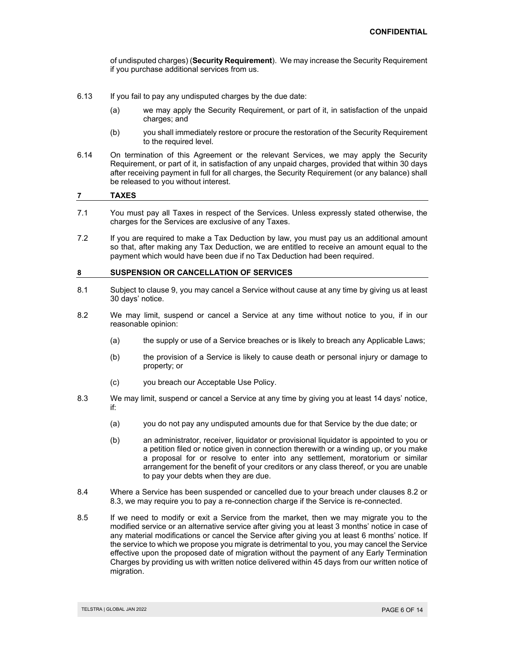of undisputed charges) (**Security Requirement**). We may increase the Security Requirement if you purchase additional services from us.

- 6.13 If you fail to pay any undisputed charges by the due date:
	- (a) we may apply the Security Requirement, or part of it, in satisfaction of the unpaid charges; and
	- (b) you shall immediately restore or procure the restoration of the Security Requirement to the required level.
- 6.14 On termination of this Agreement or the relevant Services, we may apply the Security Requirement, or part of it, in satisfaction of any unpaid charges, provided that within 30 days after receiving payment in full for all charges, the Security Requirement (or any balance) shall be released to you without interest.

## **7 TAXES**

- 7.1 You must pay all Taxes in respect of the Services. Unless expressly stated otherwise, the charges for the Services are exclusive of any Taxes.
- 7.2 If you are required to make a Tax Deduction by law, you must pay us an additional amount so that, after making any Tax Deduction, we are entitled to receive an amount equal to the payment which would have been due if no Tax Deduction had been required.

## **8 SUSPENSION OR CANCELLATION OF SERVICES**

- 8.1 Subject to clause 9, you may cancel a Service without cause at any time by giving us at least 30 days' notice.
- 8.2 We may limit, suspend or cancel a Service at any time without notice to you, if in our reasonable opinion:
	- (a) the supply or use of a Service breaches or is likely to breach any Applicable Laws;
	- (b) the provision of a Service is likely to cause death or personal injury or damage to property; or
	- (c) you breach our Acceptable Use Policy.
- 8.3 We may limit, suspend or cancel a Service at any time by giving you at least 14 days' notice, if:
	- (a) you do not pay any undisputed amounts due for that Service by the due date; or
	- (b) an administrator, receiver, liquidator or provisional liquidator is appointed to you or a petition filed or notice given in connection therewith or a winding up, or you make a proposal for or resolve to enter into any settlement, moratorium or similar arrangement for the benefit of your creditors or any class thereof, or you are unable to pay your debts when they are due.
- 8.4 Where a Service has been suspended or cancelled due to your breach under clauses 8.2 or 8.3, we may require you to pay a re-connection charge if the Service is re-connected.
- 8.5 If we need to modify or exit a Service from the market, then we may migrate you to the modified service or an alternative service after giving you at least 3 months' notice in case of any material modifications or cancel the Service after giving you at least 6 months' notice. If the service to which we propose you migrate is detrimental to you, you may cancel the Service effective upon the proposed date of migration without the payment of any Early Termination Charges by providing us with written notice delivered within 45 days from our written notice of migration.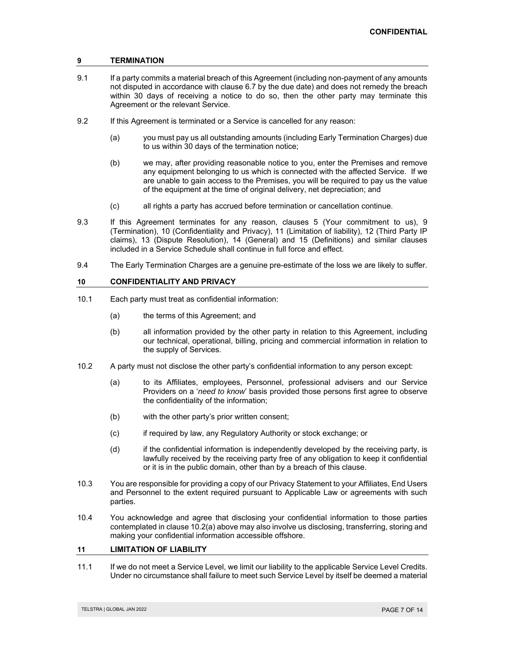## **9 TERMINATION**

- 9.1 If a party commits a material breach of this Agreement (including non-payment of any amounts not disputed in accordance with clause 6.7 by the due date) and does not remedy the breach within 30 days of receiving a notice to do so, then the other party may terminate this Agreement or the relevant Service.
- 9.2 If this Agreement is terminated or a Service is cancelled for any reason:
	- (a) you must pay us all outstanding amounts (including Early Termination Charges) due to us within 30 days of the termination notice;
	- (b) we may, after providing reasonable notice to you, enter the Premises and remove any equipment belonging to us which is connected with the affected Service. If we are unable to gain access to the Premises, you will be required to pay us the value of the equipment at the time of original delivery, net depreciation; and
	- (c) all rights a party has accrued before termination or cancellation continue.
- 9.3 If this Agreement terminates for any reason, clauses 5 (Your commitment to us), 9 (Termination), 10 (Confidentiality and Privacy), 11 (Limitation of liability), 12 (Third Party IP claims), 13 (Dispute Resolution), 14 (General) and 15 (Definitions) and similar clauses included in a Service Schedule shall continue in full force and effect.
- 9.4 The Early Termination Charges are a genuine pre-estimate of the loss we are likely to suffer.

## **10 CONFIDENTIALITY AND PRIVACY**

- 10.1 Each party must treat as confidential information:
	- (a) the terms of this Agreement; and
	- (b) all information provided by the other party in relation to this Agreement, including our technical, operational, billing, pricing and commercial information in relation to the supply of Services.
- 10.2 A party must not disclose the other party's confidential information to any person except:
	- (a) to its Affiliates, employees, Personnel, professional advisers and our Service Providers on a '*need to know*' basis provided those persons first agree to observe the confidentiality of the information;
	- (b) with the other party's prior written consent;
	- (c) if required by law, any Regulatory Authority or stock exchange; or
	- (d) if the confidential information is independently developed by the receiving party, is lawfully received by the receiving party free of any obligation to keep it confidential or it is in the public domain, other than by a breach of this clause.
- 10.3 You are responsible for providing a copy of our Privacy Statement to your Affiliates, End Users and Personnel to the extent required pursuant to Applicable Law or agreements with such parties.
- 10.4 You acknowledge and agree that disclosing your confidential information to those parties contemplated in clause 10.2(a) above may also involve us disclosing, transferring, storing and making your confidential information accessible offshore.

## **11 LIMITATION OF LIABILITY**

11.1 If we do not meet a Service Level, we limit our liability to the applicable Service Level Credits. Under no circumstance shall failure to meet such Service Level by itself be deemed a material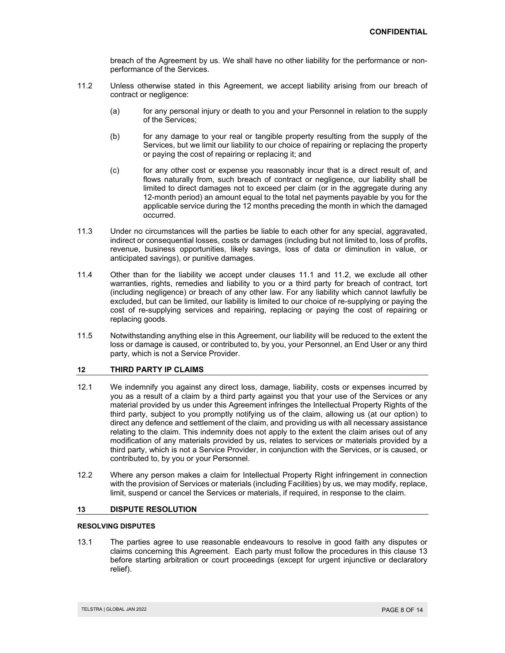breach of the Agreement by us. We shall have no other liability for the performance or nonperformance of the Services.

- 11.2 Unless otherwise stated in this Agreement, we accept liability arising from our breach of contract or negligence:
	- (a) for any personal injury or death to you and your Personnel in relation to the supply of the Services;
	- (b) for any damage to your real or tangible property resulting from the supply of the Services, but we limit our liability to our choice of repairing or replacing the property or paying the cost of repairing or replacing it; and
	- (c) for any other cost or expense you reasonably incur that is a direct result of, and flows naturally from, such breach of contract or negligence, our liability shall be limited to direct damages not to exceed per claim (or in the aggregate during any 12-month period) an amount equal to the total net payments payable by you for the applicable service during the 12 months preceding the month in which the damaged occurred.
- 11.3 Under no circumstances will the parties be liable to each other for any special, aggravated, indirect or consequential losses, costs or damages (including but not limited to, loss of profits, revenue, business opportunities, likely savings, loss of data or diminution in value, or anticipated savings), or punitive damages.
- 11.4 Other than for the liability we accept under clauses 11.1 and 11.2, we exclude all other warranties, rights, remedies and liability to you or a third party for breach of contract, tort (including negligence) or breach of any other law. For any liability which cannot lawfully be excluded, but can be limited, our liability is limited to our choice of re-supplying or paying the cost of re-supplying services and repairing, replacing or paying the cost of repairing or replacing goods.
- 11.5 Notwithstanding anything else in this Agreement, our liability will be reduced to the extent the loss or damage is caused, or contributed to, by you, your Personnel, an End User or any third party, which is not a Service Provider.

## **12 THIRD PARTY IP CLAIMS**

- 12.1 We indemnify you against any direct loss, damage, liability, costs or expenses incurred by you as a result of a claim by a third party against you that your use of the Services or any material provided by us under this Agreement infringes the Intellectual Property Rights of the third party, subject to you promptly notifying us of the claim, allowing us (at our option) to direct any defence and settlement of the claim, and providing us with all necessary assistance relating to the claim. This indemnity does not apply to the extent the claim arises out of any modification of any materials provided by us, relates to services or materials provided by a third party, which is not a Service Provider, in conjunction with the Services, or is caused, or contributed to, by you or your Personnel.
- 12.2 Where any person makes a claim for Intellectual Property Right infringement in connection with the provision of Services or materials (including Facilities) by us, we may modify, replace, limit, suspend or cancel the Services or materials, if required, in response to the claim.

## **13 DISPUTE RESOLUTION**

## **RESOLVING DISPUTES**

13.1 The parties agree to use reasonable endeavours to resolve in good faith any disputes or claims concerning this Agreement. Each party must follow the procedures in this clause 13 before starting arbitration or court proceedings (except for urgent injunctive or declaratory relief).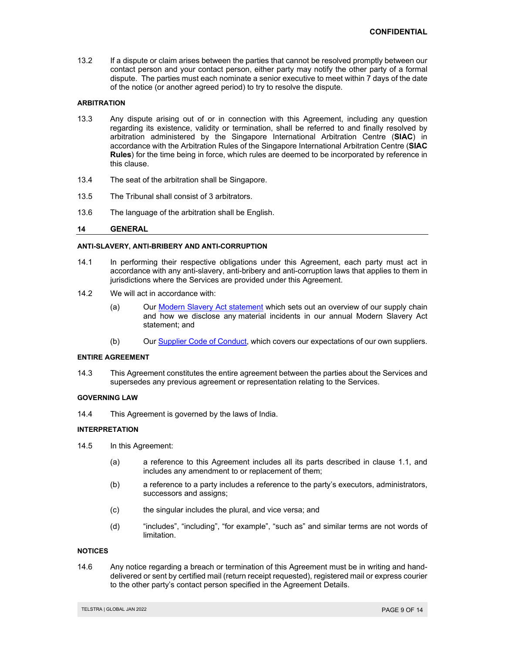13.2 If a dispute or claim arises between the parties that cannot be resolved promptly between our contact person and your contact person, either party may notify the other party of a formal dispute. The parties must each nominate a senior executive to meet within 7 days of the date of the notice (or another agreed period) to try to resolve the dispute.

## **ARBITRATION**

- 13.3 Any dispute arising out of or in connection with this Agreement, including any question regarding its existence, validity or termination, shall be referred to and finally resolved by arbitration administered by the Singapore International Arbitration Centre (**SIAC**) in accordance with the Arbitration Rules of the Singapore International Arbitration Centre (**SIAC Rules**) for the time being in force, which rules are deemed to be incorporated by reference in this clause.
- 13.4 The seat of the arbitration shall be Singapore.
- 13.5 The Tribunal shall consist of 3 arbitrators.
- 13.6 The language of the arbitration shall be English.

## **14 GENERAL**

## **ANTI-SLAVERY, ANTI-BRIBERY AND ANTI-CORRUPTION**

- 14.1 In performing their respective obligations under this Agreement, each party must act in accordance with any anti-slavery, anti-bribery and anti-corruption laws that applies to them in jurisdictions where the Services are provided under this Agreement.
- 14.2 We will act in accordance with:
	- (a) Our Modern Slavery Act statement which sets out an overview of our supply chain and how we disclose any material incidents in our annual Modern Slavery Act statement; and
	- (b) Our Supplier Code of Conduct, which covers our expectations of our own suppliers.

#### **ENTIRE AGREEMENT**

14.3 This Agreement constitutes the entire agreement between the parties about the Services and supersedes any previous agreement or representation relating to the Services.

#### **GOVERNING LAW**

14.4 This Agreement is governed by the laws of India.

## **INTERPRETATION**

- 14.5 In this Agreement:
	- (a) a reference to this Agreement includes all its parts described in clause 1.1, and includes any amendment to or replacement of them;
	- (b) a reference to a party includes a reference to the party's executors, administrators, successors and assigns;
	- (c) the singular includes the plural, and vice versa; and
	- (d) "includes", "including", "for example", "such as" and similar terms are not words of limitation.

#### **NOTICES**

14.6 Any notice regarding a breach or termination of this Agreement must be in writing and handdelivered or sent by certified mail (return receipt requested), registered mail or express courier to the other party's contact person specified in the Agreement Details.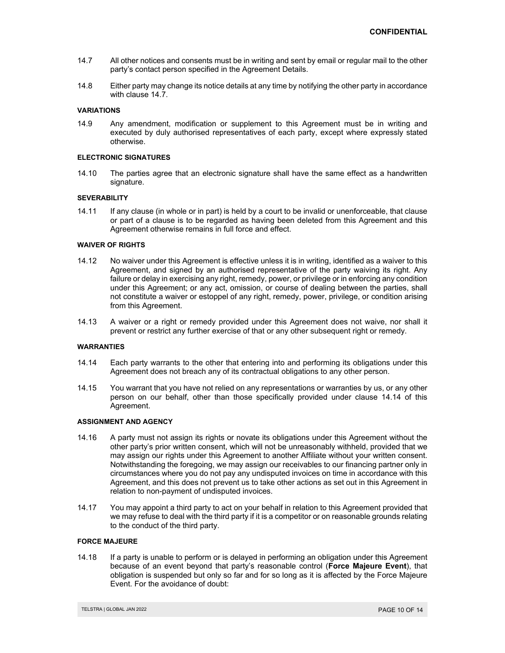- 14.7 All other notices and consents must be in writing and sent by email or regular mail to the other party's contact person specified in the Agreement Details.
- 14.8 Either party may change its notice details at any time by notifying the other party in accordance with clause 14.7.

#### **VARIATIONS**

14.9 Any amendment, modification or supplement to this Agreement must be in writing and executed by duly authorised representatives of each party, except where expressly stated otherwise.

#### **ELECTRONIC SIGNATURES**

14.10 The parties agree that an electronic signature shall have the same effect as a handwritten signature.

#### **SEVERABILITY**

14.11 If any clause (in whole or in part) is held by a court to be invalid or unenforceable, that clause or part of a clause is to be regarded as having been deleted from this Agreement and this Agreement otherwise remains in full force and effect.

## **WAIVER OF RIGHTS**

- 14.12 No waiver under this Agreement is effective unless it is in writing, identified as a waiver to this Agreement, and signed by an authorised representative of the party waiving its right. Any failure or delay in exercising any right, remedy, power, or privilege or in enforcing any condition under this Agreement; or any act, omission, or course of dealing between the parties, shall not constitute a waiver or estoppel of any right, remedy, power, privilege, or condition arising from this Agreement.
- 14.13 A waiver or a right or remedy provided under this Agreement does not waive, nor shall it prevent or restrict any further exercise of that or any other subsequent right or remedy.

#### **WARRANTIES**

- 14.14 Each party warrants to the other that entering into and performing its obligations under this Agreement does not breach any of its contractual obligations to any other person.
- 14.15 You warrant that you have not relied on any representations or warranties by us, or any other person on our behalf, other than those specifically provided under clause 14.14 of this Agreement.

#### **ASSIGNMENT AND AGENCY**

- 14.16 A party must not assign its rights or novate its obligations under this Agreement without the other party's prior written consent, which will not be unreasonably withheld, provided that we may assign our rights under this Agreement to another Affiliate without your written consent. Notwithstanding the foregoing, we may assign our receivables to our financing partner only in circumstances where you do not pay any undisputed invoices on time in accordance with this Agreement, and this does not prevent us to take other actions as set out in this Agreement in relation to non-payment of undisputed invoices.
- 14.17 You may appoint a third party to act on your behalf in relation to this Agreement provided that we may refuse to deal with the third party if it is a competitor or on reasonable grounds relating to the conduct of the third party.

## **FORCE MAJEURE**

14.18 If a party is unable to perform or is delayed in performing an obligation under this Agreement because of an event beyond that party's reasonable control (**Force Majeure Event**), that obligation is suspended but only so far and for so long as it is affected by the Force Majeure Event. For the avoidance of doubt: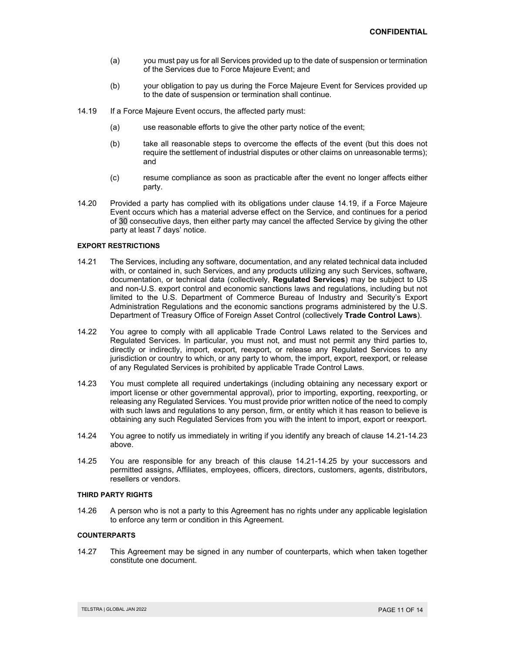- (a) you must pay us for all Services provided up to the date of suspension or termination of the Services due to Force Majeure Event; and
- (b) your obligation to pay us during the Force Majeure Event for Services provided up to the date of suspension or termination shall continue.
- 14.19 If a Force Majeure Event occurs, the affected party must:
	- (a) use reasonable efforts to give the other party notice of the event;
	- (b) take all reasonable steps to overcome the effects of the event (but this does not require the settlement of industrial disputes or other claims on unreasonable terms); and
	- (c) resume compliance as soon as practicable after the event no longer affects either party.
- 14.20 Provided a party has complied with its obligations under clause 14.19, if a Force Majeure Event occurs which has a material adverse effect on the Service, and continues for a period of 30 consecutive days, then either party may cancel the affected Service by giving the other party at least 7 days' notice.

#### **EXPORT RESTRICTIONS**

- 14.21 The Services, including any software, documentation, and any related technical data included with, or contained in, such Services, and any products utilizing any such Services, software, documentation, or technical data (collectively, **Regulated Services**) may be subject to US and non-U.S. export control and economic sanctions laws and regulations, including but not limited to the U.S. Department of Commerce Bureau of Industry and Security's Export Administration Regulations and the economic sanctions programs administered by the U.S. Department of Treasury Office of Foreign Asset Control (collectively **Trade Control Laws**).
- 14.22 You agree to comply with all applicable Trade Control Laws related to the Services and Regulated Services. In particular, you must not, and must not permit any third parties to, directly or indirectly, import, export, reexport, or release any Regulated Services to any jurisdiction or country to which, or any party to whom, the import, export, reexport, or release of any Regulated Services is prohibited by applicable Trade Control Laws.
- 14.23 You must complete all required undertakings (including obtaining any necessary export or import license or other governmental approval), prior to importing, exporting, reexporting, or releasing any Regulated Services. You must provide prior written notice of the need to comply with such laws and regulations to any person, firm, or entity which it has reason to believe is obtaining any such Regulated Services from you with the intent to import, export or reexport.
- 14.24 You agree to notify us immediately in writing if you identify any breach of clause 14.21-14.23 above.
- 14.25 You are responsible for any breach of this clause 14.21-14.25 by your successors and permitted assigns, Affiliates, employees, officers, directors, customers, agents, distributors, resellers or vendors.

## **THIRD PARTY RIGHTS**

14.26 A person who is not a party to this Agreement has no rights under any applicable legislation to enforce any term or condition in this Agreement.

## **COUNTERPARTS**

14.27 This Agreement may be signed in any number of counterparts, which when taken together constitute one document.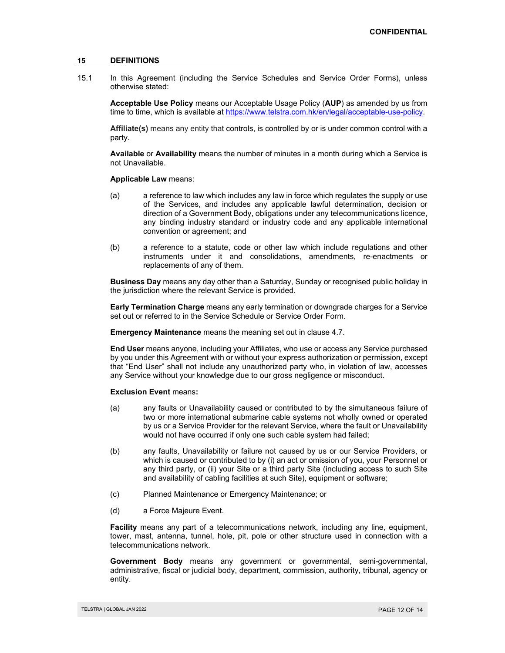## **15 DEFINITIONS**

15.1 In this Agreement (including the Service Schedules and Service Order Forms), unless otherwise stated:

**Acceptable Use Policy** means our Acceptable Usage Policy (**AUP**) as amended by us from time to time, which is available at https://www.telstra.com.hk/en/legal/acceptable-use-policy.

**Affiliate(s)** means any entity that controls, is controlled by or is under common control with a party.

**Available** or **Availability** means the number of minutes in a month during which a Service is not Unavailable.

#### **Applicable Law** means:

- (a) a reference to law which includes any law in force which regulates the supply or use of the Services, and includes any applicable lawful determination, decision or direction of a Government Body, obligations under any telecommunications licence, any binding industry standard or industry code and any applicable international convention or agreement; and
- (b) a reference to a statute, code or other law which include regulations and other instruments under it and consolidations, amendments, re-enactments or replacements of any of them.

**Business Day** means any day other than a Saturday, Sunday or recognised public holiday in the jurisdiction where the relevant Service is provided.

**Early Termination Charge** means any early termination or downgrade charges for a Service set out or referred to in the Service Schedule or Service Order Form.

**Emergency Maintenance** means the meaning set out in clause 4.7.

**End User** means anyone, including your Affiliates, who use or access any Service purchased by you under this Agreement with or without your express authorization or permission, except that "End User" shall not include any unauthorized party who, in violation of law, accesses any Service without your knowledge due to our gross negligence or misconduct.

#### **Exclusion Event** means**:**

- (a) any faults or Unavailability caused or contributed to by the simultaneous failure of two or more international submarine cable systems not wholly owned or operated by us or a Service Provider for the relevant Service, where the fault or Unavailability would not have occurred if only one such cable system had failed;
- (b) any faults, Unavailability or failure not caused by us or our Service Providers, or which is caused or contributed to by (i) an act or omission of you, your Personnel or any third party, or (ii) your Site or a third party Site (including access to such Site and availability of cabling facilities at such Site), equipment or software;
- (c) Planned Maintenance or Emergency Maintenance; or
- (d) a Force Majeure Event.

**Facility** means any part of a telecommunications network, including any line, equipment, tower, mast, antenna, tunnel, hole, pit, pole or other structure used in connection with a telecommunications network.

**Government Body** means any government or governmental, semi-governmental, administrative, fiscal or judicial body, department, commission, authority, tribunal, agency or entity.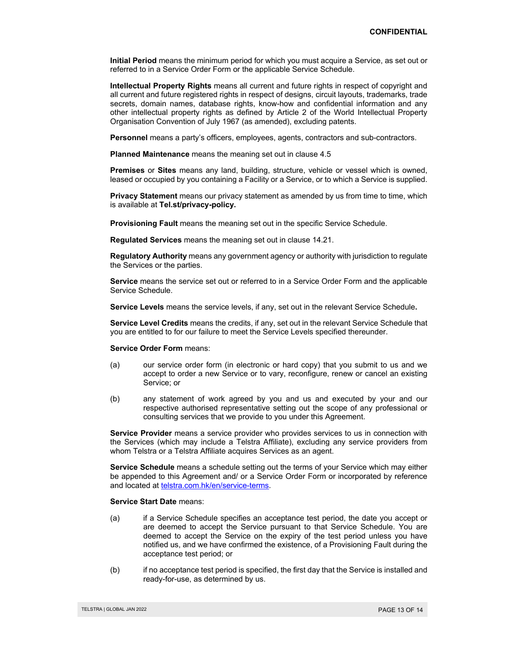**Initial Period** means the minimum period for which you must acquire a Service, as set out or referred to in a Service Order Form or the applicable Service Schedule.

**Intellectual Property Rights** means all current and future rights in respect of copyright and all current and future registered rights in respect of designs, circuit layouts, trademarks, trade secrets, domain names, database rights, know-how and confidential information and any other intellectual property rights as defined by Article 2 of the World Intellectual Property Organisation Convention of July 1967 (as amended), excluding patents.

**Personnel** means a party's officers, employees, agents, contractors and sub-contractors.

**Planned Maintenance** means the meaning set out in clause 4.5

**Premises** or **Sites** means any land, building, structure, vehicle or vessel which is owned, leased or occupied by you containing a Facility or a Service, or to which a Service is supplied.

**Privacy Statement** means our privacy statement as amended by us from time to time, which is available at **Tel.st/privacy-policy.** 

 **Provisioning Fault** means the meaning set out in the specific Service Schedule.

**Regulated Services** means the meaning set out in clause 14.21.

**Regulatory Authority** means any government agency or authority with jurisdiction to regulate the Services or the parties.

**Service** means the service set out or referred to in a Service Order Form and the applicable Service Schedule.

**Service Levels** means the service levels, if any, set out in the relevant Service Schedule**.** 

**Service Level Credits** means the credits, if any, set out in the relevant Service Schedule that you are entitled to for our failure to meet the Service Levels specified thereunder.

**Service Order Form** means:

- (a) our service order form (in electronic or hard copy) that you submit to us and we accept to order a new Service or to vary, reconfigure, renew or cancel an existing Service; or
- (b) any statement of work agreed by you and us and executed by your and our respective authorised representative setting out the scope of any professional or consulting services that we provide to you under this Agreement.

**Service Provider** means a service provider who provides services to us in connection with the Services (which may include a Telstra Affiliate), excluding any service providers from whom Telstra or a Telstra Affiliate acquires Services as an agent.

**Service Schedule** means a schedule setting out the terms of your Service which may either be appended to this Agreement and/ or a Service Order Form or incorporated by reference and located at telstra.com.hk/en/service-terms.

#### **Service Start Date** means:

- (a) if a Service Schedule specifies an acceptance test period, the date you accept or are deemed to accept the Service pursuant to that Service Schedule. You are deemed to accept the Service on the expiry of the test period unless you have notified us, and we have confirmed the existence, of a Provisioning Fault during the acceptance test period; or
- (b) if no acceptance test period is specified, the first day that the Service is installed and ready-for-use, as determined by us.